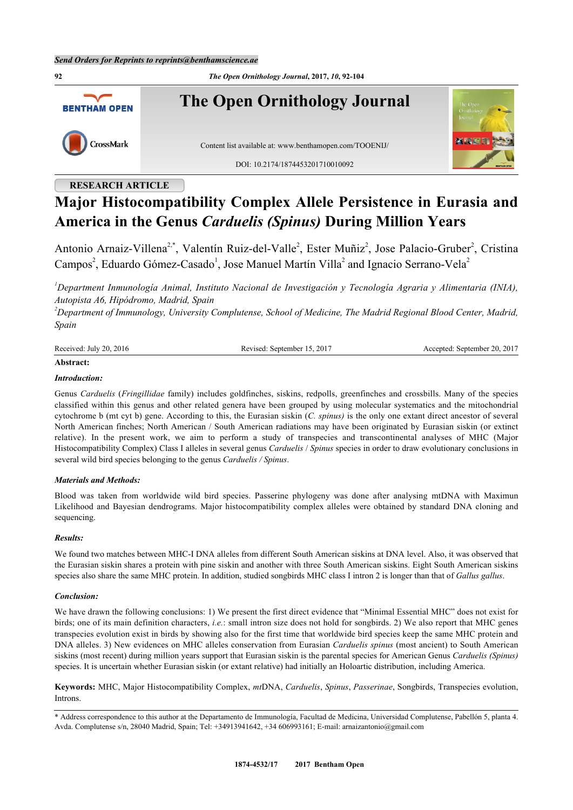**92** *The Open Ornithology Journal***, 2017,** *10***, 92-104 The Open Ornithology Journal BENTHAM OPEN** CrossMark Content list available at: [www.benthamopen.com/TOOENIJ/](http://www.benthamopen.com/TOOENIJ/) DOI: [10.2174/1874453201710010092](http://dx.doi.org/10.2174/1874453201710010092)

# **RESEARCH ARTICLE**

# **Major Histocompatibility Complex Allele Persistence in Eurasia and America in the Genus** *Carduelis (Spinus)* **During Million Years**

Antonio Arnaiz-Villena<sup>[2](#page-0-0)[,\\*](#page-0-1)</sup>, Valentín Ruiz-del-Valle<sup>2</sup>, Ester Muñiz<sup>2</sup>, Jose Palacio-Gruber<sup>2</sup>, Cristina Campos<sup>[2](#page-0-0)</sup>, Eduardo Gómez-Casado<sup>[1](#page-0-2)</sup>, Jose Manuel Martín Villa<sup>2</sup> and Ignacio Serrano-Vela<sup>2</sup>

<span id="page-0-2"></span>*<sup>1</sup>Department Inmunología Animal, Instituto Nacional de Investigación y Tecnología Agraria y Alimentaria (INIA), Autopista A6, Hipódromo, Madrid, Spain*

<span id="page-0-0"></span>*<sup>2</sup>Department of Immunology, University Complutense, School of Medicine, The Madrid Regional Blood Center, Madrid, Spain*

| 2016<br>Received:<br>20<br>July | 2017<br>sentember | $-201'$<br>20.<br>sentember<br>entec |
|---------------------------------|-------------------|--------------------------------------|
|                                 |                   |                                      |

# **Abstract:**

# *Introduction:*

Genus *Carduelis* (*Fringillidae* family) includes goldfinches, siskins, redpolls, greenfinches and crossbills. Many of the species classified within this genus and other related genera have been grouped by using molecular systematics and the mitochondrial cytochrome b (mt cyt b) gene. According to this, the Eurasian siskin (*C. spinus)* is the only one extant direct ancestor of several North American finches; North American / South American radiations may have been originated by Eurasian siskin (or extinct relative). In the present work, we aim to perform a study of transpecies and transcontinental analyses of MHC (Major Histocompatibility Complex) Class I alleles in several genus *Carduelis* / *Spinus* species in order to draw evolutionary conclusions in several wild bird species belonging to the genus *Carduelis / Spinus*.

## *Materials and Methods:*

Blood was taken from worldwide wild bird species. Passerine phylogeny was done after analysing mtDNA with Maximun Likelihood and Bayesian dendrograms. Major histocompatibility complex alleles were obtained by standard DNA cloning and sequencing.

# *Results:*

We found two matches between MHC-I DNA alleles from different South American siskins at DNA level. Also, it was observed that the Eurasian siskin shares a protein with pine siskin and another with three South American siskins. Eight South American siskins species also share the same MHC protein. In addition, studied songbirds MHC class I intron 2 is longer than that of *Gallus gallus*.

## *Conclusion:*

We have drawn the following conclusions: 1) We present the first direct evidence that "Minimal Essential MHC" does not exist for birds; one of its main definition characters, *i.e.*: small intron size does not hold for songbirds. 2) We also report that MHC genes transpecies evolution exist in birds by showing also for the first time that worldwide bird species keep the same MHC protein and DNA alleles. 3) New evidences on MHC alleles conservation from Eurasian *Carduelis spinus* (most ancient) to South American siskins (most recent) during million years support that Eurasian siskin is the parental species for American Genus *Carduelis (Spinus)* species. It is uncertain whether Eurasian siskin (or extant relative) had initially an Holoartic distribution, including America.

**Keywords:** MHC, Major Histocompatibility Complex, *mt*DNA, *Carduelis*, *Spinus*, *Passerinae*, Songbirds, Transpecies evolution, Introns.

<span id="page-0-1"></span>\* Address correspondence to this author at the Departamento de Immunología, Facultad de Medicina, Universidad Complutense, Pabellón 5, planta 4. Avda. Complutense s/n, 28040 Madrid, Spain; Tel: +34913941642, +34 606993161; E-mail: [arnaizantonio@gmail.com](mailto:arnaizantonio@gmail.com)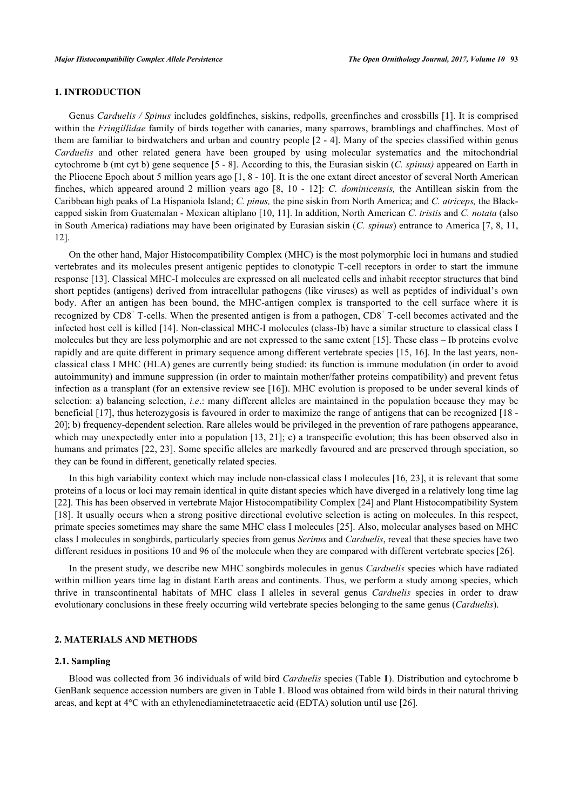# **1. INTRODUCTION**

Genus *Carduelis / Spinus* includes goldfinches, siskins, redpolls, greenfinches and crossbills [\[1\]](#page-9-0). It is comprised within the *Fringillidae* family of birds together with canaries, many sparrows, bramblings and chaffinches. Most of them are familiar to birdwatchers and urban and country people [\[2](#page-10-0) - [4](#page-10-1)]. Many of the species classified within genus *Carduelis* and other related genera have been grouped by using molecular systematics and the mitochondrial cytochrome b (mt cyt b) gene sequence [\[5](#page-10-2) - [8](#page-10-3)]. According to this, the Eurasian siskin (*C. spinus)* appeared on Earth in the Pliocene Epoch about 5 million years ago [\[1](#page-9-0), [8](#page-10-3) - [10](#page-10-4)]. It is the one extant direct ancestor of several North American finches, which appeared around 2 million years ago[[8,](#page-10-3) [10](#page-10-4) - [12\]](#page-10-5): *C. dominicensis,* the Antillean siskin from the Caribbean high peaks of La Hispaniola Island; *C. pinus,* the pine siskin from North America; and *C. atriceps,* the Blackcapped siskin from Guatemalan - Mexican altiplano [[10,](#page-10-4) [11\]](#page-10-6). In addition, North American *C. tristis* and *C. notata* (also in South America) radiations may have been originated by Eurasian siskin (*C. spinus*) entrance to America [[7,](#page-10-7) [8](#page-10-3), [11](#page-10-6), [12\]](#page-10-5).

On the other hand, Major Histocompatibility Complex (MHC) is the most polymorphic loci in humans and studied vertebrates and its molecules present antigenic peptides to clonotypic T-cell receptors in order to start the immune response [[13](#page-10-8)]. Classical MHC-I molecules are expressed on all nucleated cells and inhabit receptor structures that bind short peptides (antigens) derived from intracellular pathogens (like viruses) as well as peptides of individual's own body. After an antigen has been bound, the MHC-antigen complex is transported to the cell surface where it is recognized by CD8<sup>+</sup> T-cells. When the presented antigen is from a pathogen, CD8<sup>+</sup> T-cell becomes activated and the infected host cell is killed [\[14](#page-10-9)]. Non-classical MHC-I molecules (class-Ib) have a similar structure to classical class I molecules but they are less polymorphic and are not expressed to the same extent [[15\]](#page-10-10). These class – Ib proteins evolve rapidly and are quite different in primary sequence among different vertebrate species [\[15](#page-10-10), [16\]](#page-10-11). In the last years, nonclassical class I MHC (HLA) genes are currently being studied: its function is immune modulation (in order to avoid autoimmunity) and immune suppression (in order to maintain mother/father proteins compatibility) and prevent fetus infection as a transplant (for an extensive review see [[16](#page-10-11)]). MHC evolution is proposed to be under several kinds of selection: a) balancing selection, *i.e*.: many different alleles are maintained in the population because they may be beneficial [[17](#page-10-12)], thus heterozygosis is favoured in order to maximize the range of antigens that can be recognized [\[18](#page-10-13) - [20\]](#page-10-14); b) frequency-dependent selection. Rare alleles would be privileged in the prevention of rare pathogens appearance, which may unexpectedly enter into a population [[13](#page-10-8), [21\]](#page-10-15); c) a transpecific evolution; this has been observed also in humans and primates [[22,](#page-10-16) [23\]](#page-10-17). Some specific alleles are markedly favoured and are preserved through speciation, so they can be found in different, genetically related species.

In this high variability context which may include non-classical class I molecules [\[16](#page-10-11), [23\]](#page-10-17), it is relevant that some proteins of a locus or loci may remain identical in quite distant species which have diverged in a relatively long time lag [\[22](#page-10-16)]. This has been observed in vertebrate Major Histocompatibility Complex [\[24](#page-10-18)] and Plant Histocompatibility System [\[18](#page-10-13)]. It usually occurs when a strong positive directional evolutive selection is acting on molecules. In this respect, primate species sometimes may share the same MHC class I molecules [\[25](#page-10-19)]. Also, molecular analyses based on MHC class I molecules in songbirds, particularly species from genus *Serinus* and *Carduelis*, reveal that these species have two different residues in positions 10 and 96 of the molecule when they are compared with different vertebrate species [\[26](#page-11-0)].

In the present study, we describe new MHC songbirds molecules in genus *Carduelis* species which have radiated within million years time lag in distant Earth areas and continents. Thus, we perform a study among species, which thrive in transcontinental habitats of MHC class I alleles in several genus *Carduelis* species in order to draw evolutionary conclusions in these freely occurring wild vertebrate species belonging to the same genus (*Carduelis*).

#### **2. MATERIALS AND METHODS**

#### **2.1. Sampling**

Blood was collected from 36 individuals of wild bird *Carduelis* species (Table **[1](#page-2-0)**). Distribution and cytochrome b GenBank sequence accession numbers are given in Table **[1](#page-2-0)**. Blood was obtained from wild birds in their natural thriving areas, and kept at 4°C with an ethylenediaminetetraacetic acid (EDTA) solution until use [\[26](#page-11-0)].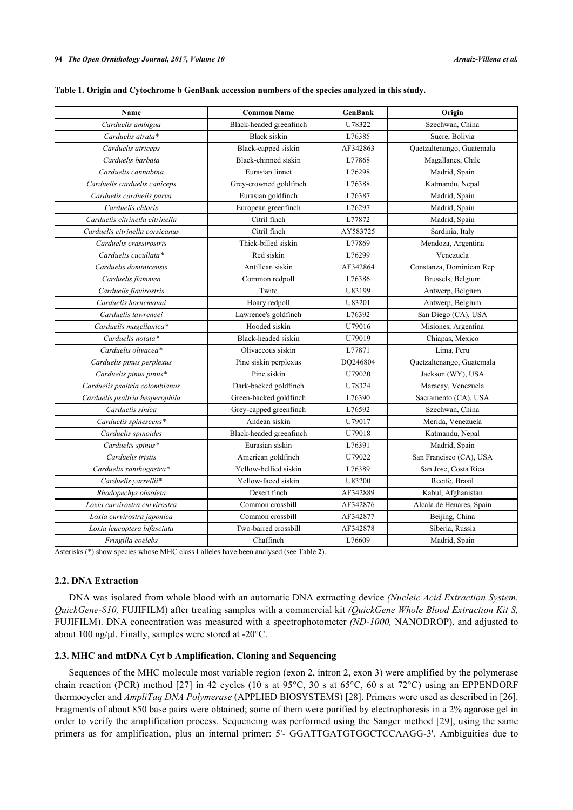<span id="page-2-0"></span>

| Table 1. Origin and Cytochrome b GenBank accession numbers of the species analyzed in this study. |  |
|---------------------------------------------------------------------------------------------------|--|
|                                                                                                   |  |

| Name                            | <b>Common Name</b>      | GenBank  | Origin                    |
|---------------------------------|-------------------------|----------|---------------------------|
| Carduelis ambigua               | Black-headed greenfinch | U78322   | Szechwan, China           |
| Carduelis atrata*               | <b>Black</b> siskin     | L76385   | Sucre, Bolivia            |
| Carduelis atriceps              | Black-capped siskin     | AF342863 | Quetzaltenango, Guatemala |
| Carduelis barbata               | Black-chinned siskin    | L77868   | Magallanes, Chile         |
| Carduelis cannabina             | Eurasian linnet         | L76298   | Madrid, Spain             |
| Carduelis carduelis caniceps    | Grey-crowned goldfinch  | L76388   | Katmandu, Nepal           |
| Carduelis carduelis parva       | Eurasian goldfinch      | L76387   | Madrid, Spain             |
| Carduelis chloris               | European greenfinch     | L76297   | Madrid, Spain             |
| Carduelis citrinella citrinella | Citril finch            | L77872   | Madrid, Spain             |
| Carduelis citrinella corsicanus | Citril finch            | AY583725 | Sardinia, Italy           |
| Carduelis crassirostris         | Thick-billed siskin     | L77869   | Mendoza, Argentina        |
| Carduelis cucullata*            | Red siskin              | L76299   | Venezuela                 |
| Carduelis dominicensis          | Antillean siskin        | AF342864 | Constanza, Dominican Rep  |
| Carduelis flammea               | Common redpoll          | L76386   | Brussels, Belgium         |
| Carduelis flavirostris          | Twite                   | U83199   | Antwerp, Belgium          |
| Carduelis hornemanni            | Hoary redpoll           | U83201   | Antwerp, Belgium          |
| Carduelis lawrencei             | Lawrence's goldfinch    | L76392   | San Diego (CA), USA       |
| Carduelis magellanica*          | Hooded siskin           | U79016   | Misiones, Argentina       |
| Carduelis notata*               | Black-headed siskin     | U79019   | Chiapas, Mexico           |
| Carduelis olivacea*             | Olivaceous siskin       | L77871   | Lima, Peru                |
| Carduelis pinus perplexus       | Pine siskin perplexus   | DQ246804 | Quetzaltenango, Guatemala |
| Carduelis pinus pinus*          | Pine siskin             | U79020   | Jackson (WY), USA         |
| Carduelis psaltria colombianus  | Dark-backed goldfinch   | U78324   | Maracay, Venezuela        |
| Carduelis psaltria hesperophila | Green-backed goldfinch  | L76390   | Sacramento (CA), USA      |
| Carduelis sinica                | Grey-capped greenfinch  | L76592   | Szechwan, China           |
| Carduelis spinescens*           | Andean siskin           | U79017   | Merida, Venezuela         |
| Carduelis spinoides             | Black-headed greenfinch | U79018   | Katmandu, Nepal           |
| Carduelis spinus*               | Eurasian siskin         | L76391   | Madrid, Spain             |
| Carduelis tristis               | American goldfinch      | U79022   | San Francisco (CA), USA   |
| Carduelis xanthogastra*         | Yellow-bellied siskin   | L76389   | San Jose, Costa Rica      |
| Carduelis yarrellii*            | Yellow-faced siskin     | U83200   | Recife, Brasil            |
| Rhodopechys obsoleta            | Desert finch            | AF342889 | Kabul, Afghanistan        |
| Loxia curvirostra curvirostra   | Common crossbill        | AF342876 | Alcala de Henares, Spain  |
| Loxia curvirostra japonica      | Common crossbill        | AF342877 | Beijing, China            |
| Loxia leucoptera bifasciata     | Two-barred crossbill    | AF342878 | Siberia, Russia           |
| Fringilla coelebs               | Chaffinch               | L76609   | Madrid, Spain             |
|                                 |                         |          |                           |

Asterisks (\*) show species whose MHC class I alleles have been analysed (see Table **[2](#page-3-0)**).

# **2.2. DNA Extraction**

DNA was isolated from whole blood with an automatic DNA extracting device *(Nucleic Acid Extraction System. QuickGene-810,* FUJIFILM) after treating samples with a commercial kit *(QuickGene Whole Blood Extraction Kit S,* FUJIFILM). DNA concentration was measured with a spectrophotometer *(ND-1000,* NANODROP), and adjusted to about 100 ng/μl. Finally, samples were stored at -20°C.

#### **2.3. MHC and mtDNA Cyt b Amplification, Cloning and Sequencing**

Sequences of the MHC molecule most variable region (exon 2, intron 2, exon 3) were amplified by the polymerase chain reaction (PCR) method [\[27\]](#page-11-1) in 42 cycles (10 s at 95 $^{\circ}$ C, 30 s at 65 $^{\circ}$ C, 60 s at 72 $^{\circ}$ C) using an EPPENDORF thermocycler and *AmpliTaq DNA Polymerase* (APPLIED BIOSYSTEMS) [\[28](#page-11-2)]. Primers were used as described in [[26\]](#page-11-0). Fragments of about 850 base pairs were obtained; some of them were purified by electrophoresis in a 2% agarose gel in order to verify the amplification process. Sequencing was performed using the Sanger method [[29](#page-11-3)], using the same primers as for amplification, plus an internal primer: 5'- GGATTGATGTGGCTCCAAGG-3'. Ambiguities due to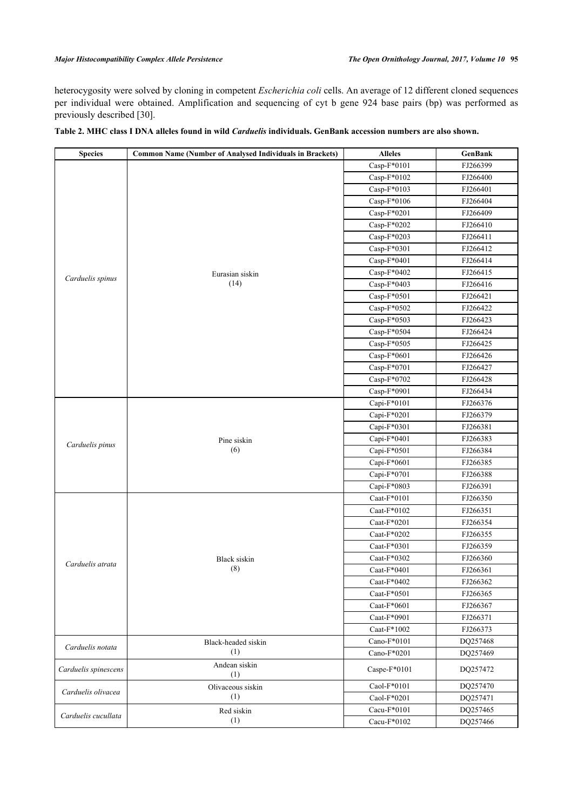#### *Major Histocompatibility Complex Allele Persistence The Open Ornithology Journal, 2017, Volume 10* **95**

heterocygosity were solved by cloning in competent *Escherichia coli* cells. An average of 12 different cloned sequences per individual were obtained. Amplification and sequencing of cyt b gene 924 base pairs (bp) was performed as previously described [[30\]](#page-11-4).

| <b>Species</b>       | <b>Common Name (Number of Analysed Individuals in Brackets)</b> | <b>Alleles</b> | <b>GenBank</b> |
|----------------------|-----------------------------------------------------------------|----------------|----------------|
|                      |                                                                 | $Casp-F*0101$  | FJ266399       |
|                      |                                                                 | $Casp-F*0102$  | FJ266400       |
|                      |                                                                 | $Casp-F*0103$  | FJ266401       |
|                      |                                                                 | $Casp-F*0106$  | FJ266404       |
|                      | Eurasian siskin<br>(14)                                         | Casp-F*0201    | FJ266409       |
|                      |                                                                 | Casp-F*0202    | FJ266410       |
|                      |                                                                 | Casp-F*0203    | FJ266411       |
|                      |                                                                 | Casp-F*0301    | FJ266412       |
|                      |                                                                 | Casp-F*0401    | FJ266414       |
|                      |                                                                 | Casp-F*0402    | FJ266415       |
| Carduelis spinus     |                                                                 | Casp-F*0403    | FJ266416       |
|                      |                                                                 | Casp-F*0501    | FJ266421       |
|                      |                                                                 | Casp-F*0502    | FJ266422       |
|                      |                                                                 | Casp-F*0503    | FJ266423       |
|                      |                                                                 | Casp-F*0504    | FJ266424       |
|                      |                                                                 | Casp-F*0505    | FJ266425       |
|                      |                                                                 | Casp-F*0601    | FJ266426       |
|                      |                                                                 | Casp-F*0701    | FJ266427       |
|                      |                                                                 | Casp-F*0702    | FJ266428       |
|                      |                                                                 | Casp-F*0901    | FJ266434       |
|                      |                                                                 | Capi-F*0101    | FJ266376       |
|                      |                                                                 | Capi-F*0201    | FJ266379       |
|                      |                                                                 | Capi-F*0301    | FJ266381       |
| Carduelis pinus      | Pine siskin<br>(6)                                              | Capi-F*0401    | FJ266383       |
|                      |                                                                 | Capi-F*0501    | FJ266384       |
|                      |                                                                 | Capi-F*0601    | FJ266385       |
|                      |                                                                 | Capi-F*0701    | FJ266388       |
|                      |                                                                 | Capi-F*0803    | FJ266391       |
|                      |                                                                 | Caat-F*0101    | FJ266350       |
|                      | <b>Black</b> siskin<br>(8)                                      | Caat- $F*0102$ | FJ266351       |
|                      |                                                                 | Caat-F*0201    | FJ266354       |
|                      |                                                                 | Caat- $F*0202$ | FJ266355       |
| Carduelis atrata     |                                                                 | Caat-F*0301    | FJ266359       |
|                      |                                                                 | Caat- $F*0302$ | FJ266360       |
|                      |                                                                 | Caat-F*0401    | FJ266361       |
|                      |                                                                 | Caat-F*0402    | FJ266362       |
|                      |                                                                 | Caat-F*0501    | FJ266365       |
|                      |                                                                 | Caat-F*0601    | FJ266367       |
|                      |                                                                 | Caat-F*0901    | FJ266371       |
|                      |                                                                 | Caat- $F*1002$ | FJ266373       |
| Carduelis notata     | Black-headed siskin<br>(1)                                      | Cano-F*0101    | DQ257468       |
|                      |                                                                 | Cano-F*0201    | DQ257469       |
| Carduelis spinescens | Andean siskin<br>(1)                                            | Caspe-F*0101   | DQ257472       |
| Carduelis olivacea   | Olivaceous siskin                                               | Caol-F*0101    | DQ257470       |
|                      | (1)                                                             | Caol-F*0201    | DQ257471       |
| Carduelis cucullata  | Red siskin                                                      | Cacu-F*0101    | DQ257465       |
|                      | (1)                                                             | Cacu-F*0102    | DQ257466       |

# <span id="page-3-0"></span>**Table 2. MHC class I DNA alleles found in wild** *Carduelis* **individuals. GenBank accession numbers are also shown.**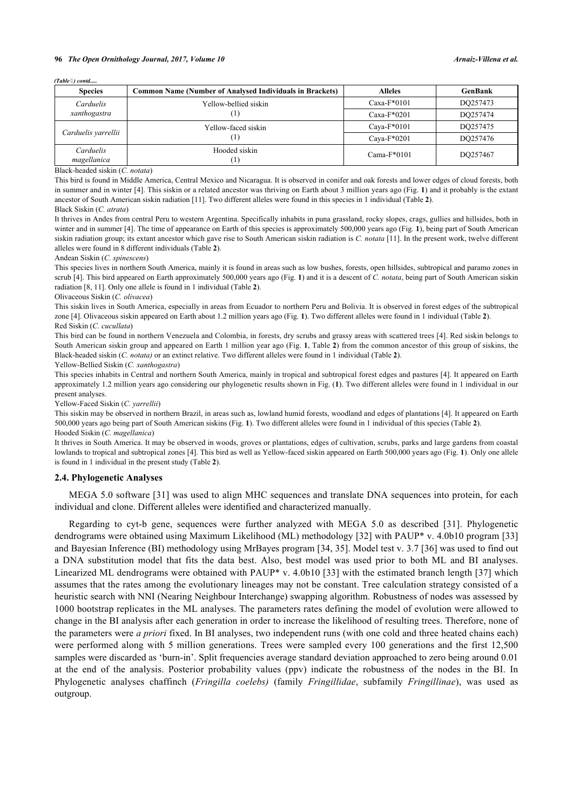*(Table ) contd.....*

| <b>Species</b>           | <b>Common Name (Number of Analysed Individuals in Brackets)</b> | <b>Alleles</b> | <b>GenBank</b> |
|--------------------------|-----------------------------------------------------------------|----------------|----------------|
| Carduelis                | Yellow-bellied siskin                                           | $Caxa-F*0101$  | DO257473       |
| xanthogastra             |                                                                 | $Caxa-F*0201$  | DO257474       |
| Carduelis yarrellii      | Yellow-faced siskin<br>Ш                                        | Cava- $F*0101$ | DO257475       |
|                          |                                                                 | Cava- $F*0201$ | DO257476       |
| Carduelis<br>magellanica | Hooded siskin                                                   | Cama- $F*0101$ | DO257467       |

Black-headed siskin (*C. notata*)

This bird is found in Middle America, Central Mexico and Nicaragua. It is observed in conifer and oak forests and lower edges of cloud forests, both in summer and in winter [\[4](#page-10-1)]. This siskin or a related ancestor was thriving on Earth about 3 million years ago (Fig. **[1](#page-5-0)**) and it probably is the extant ancestor of South American siskin radiation [\[11](#page-10-6)]. Two different alleles were found in this species in 1 individual (Table **[2](#page-3-0)**).

## Black Siskin (*C. atrata*)

It thrives in Andes from central Peru to western Argentina. Specifically inhabits in puna grassland, rocky slopes, crags, gullies and hillsides, both in winter and in summer [[4\]](#page-10-1). The time of appearance on Earth of this species is approximately 500,000 years ago (Fig. **[1](#page-5-0)**), being part of South American siskin radiation group; its extant ancestor which gave rise to South American siskin radiation is *C. notata* [[11\]](#page-10-6). In the present work, twelve different alleles were found in 8 different individuals (Table **[2](#page-3-0)**).

#### Andean Siskin (*C. spinescens*)

This species lives in northern South America, mainly it is found in areas such as low bushes, forests, open hillsides, subtropical and paramo zones in scrub [[4\]](#page-10-1). This bird appeared on Earth approximately 500,000 years ago (Fig. **[1](#page-5-0)**) and it is a descent of *C. notata*, being part of South American siskin radiation [[8,](#page-10-3) [11\]](#page-10-6). Only one allele is found in 1 individual (Table **[2](#page-3-0)**).

#### Olivaceous Siskin (*C. olivacea*)

This siskin lives in South America, especially in areas from Ecuador to northern Peru and Bolivia. It is observed in forest edges of the subtropical zone [\[4](#page-10-1)]. Olivaceous siskin appeared on Earth about 1.2 million years ago (Fig. **[1](#page-5-0)**). Two different alleles were found in 1 individual (Table **[2](#page-3-0)**). Red Siskin (*C. cucullata*)

This bird can be found in northern Venezuela and Colombia, in forests, dry scrubs and grassy areas with scattered trees [[4\]](#page-10-1). Red siskin belongs to South American siskin group and appeared on Earth 1 million year ago (Fig. **[1](#page-5-0)**, Table **[2](#page-3-0)**) from the common ancestor of this group of siskins, the Black-headed siskin (*C. notata)* or an extinct relative. Two different alleles were found in 1 individual (Table **[2](#page-3-0)**).

Yellow-Bellied Siskin (*C. xanthogastra*)

This species inhabits in Central and northern South America, mainly in tropical and subtropical forest edges and pastures [[4\]](#page-10-1). It appeared on Earth approximately 1.2 million years ago considering our phylogenetic results shown in Fig. (**[1](#page-5-0)**). Two different alleles were found in 1 individual in our present analyses.

Yellow-Faced Siskin (*C. yarrellii*)

This siskin may be observed in northern Brazil, in areas such as, lowland humid forests, woodland and edges of plantations [[4\]](#page-10-1). It appeared on Earth 500,000 years ago being part of South American siskins (Fig. **[1](#page-5-0)**). Two different alleles were found in 1 individual of this species (Table **[2](#page-3-0)**). Hooded Siskin (*C. magellanica*)

It thrives in South America. It may be observed in woods, groves or plantations, edges of cultivation, scrubs, parks and large gardens from coastal lowlands to tropical and subtropical zones [\[4](#page-10-1)]. This bird as well as Yellow-faced siskin appeared on Earth 500,000 years ago (Fig. **[1](#page-5-0)**). Only one allele is found in 1 individual in the present study (Table **[2](#page-3-0)**).

#### **2.4. Phylogenetic Analyses**

MEGA 5.0 software [\[31\]](#page-11-5) was used to align MHC sequences and translate DNA sequences into protein, for each individual and clone. Different alleles were identified and characterized manually.

Regarding to cyt-b gene, sequences were further analyzed with MEGA 5.0 as described [\[31](#page-11-5)]. Phylogenetic dendrograms were obtained using Maximum Likelihood (ML) methodology [\[32](#page-11-6)] with PAUP\* v. 4.0b10 program [\[33](#page-11-7)] and Bayesian Inference (BI) methodology using MrBayes program [\[34](#page-11-8), [35](#page-11-9)]. Model test v. 3.7 [\[36](#page-11-10)] was used to find out a DNA substitution model that fits the data best. Also, best model was used prior to both ML and BI analyses. Linearized ML dendrograms were obtained with PAUP\* v. 4.0b10 [[33](#page-11-7)] with the estimated branch length [\[37](#page-11-11)] which assumes that the rates among the evolutionary lineages may not be constant. Tree calculation strategy consisted of a heuristic search with NNI (Nearing Neighbour Interchange) swapping algorithm. Robustness of nodes was assessed by 1000 bootstrap replicates in the ML analyses. The parameters rates defining the model of evolution were allowed to change in the BI analysis after each generation in order to increase the likelihood of resulting trees. Therefore, none of the parameters were *a priori* fixed. In BI analyses, two independent runs (with one cold and three heated chains each) were performed along with 5 million generations. Trees were sampled every 100 generations and the first 12,500 samples were discarded as 'burn-in'. Split frequencies average standard deviation approached to zero being around 0.01 at the end of the analysis. Posterior probability values (ppv) indicate the robustness of the nodes in the BI. In Phylogenetic analyses chaffinch (*Fringilla coelebs)* (family *Fringillidae*, subfamily *Fringillinae*), was used as outgroup.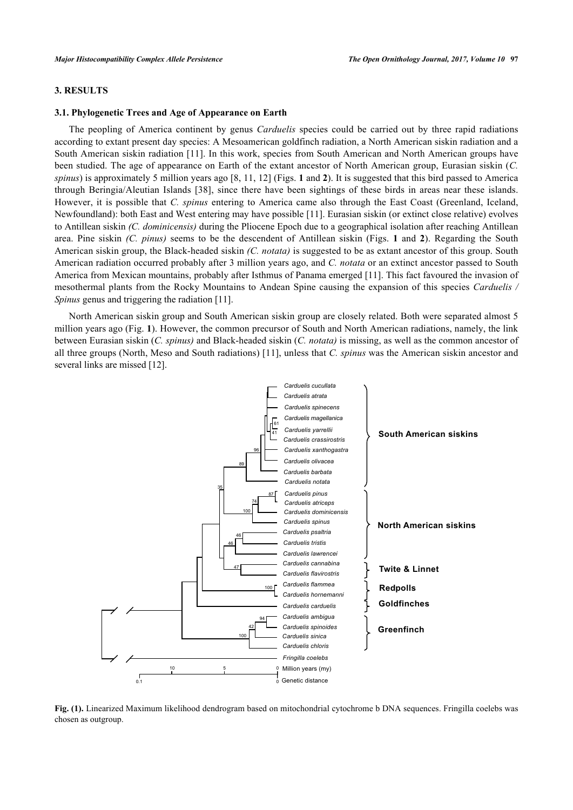# **3. RESULTS**

#### **3.1. Phylogenetic Trees and Age of Appearance on Earth**

The peopling of America continent by genus *Carduelis* species could be carried out by three rapid radiations according to extant present day species: A Mesoamerican goldfinch radiation, a North American siskin radiation and a South American siskin radiation [\[11\]](#page-10-6). In this work, species from South American and North American groups have been studied. The age of appearance on Earth of the extant ancestor of North American group, Eurasian siskin (*C. spinus*) is approximately 5 million years ago [[8](#page-10-3), [11](#page-10-6), [12\]](#page-10-5) (Figs. **[1](#page-5-0)** and **[2](#page-5-1)**). It is suggested that this bird passed to America through Beringia/Aleutian Islands[[38](#page-11-12)], since there have been sightings of these birds in areas near these islands. However, it is possible that *C. spinus* entering to America came also through the East Coast (Greenland, Iceland, Newfoundland): both East and West entering may have possible [[11\]](#page-10-6). Eurasian siskin (or extinct close relative) evolves to Antillean siskin *(C. dominicensis)* during the Pliocene Epoch due to a geographical isolation after reaching Antillean area. Pine siskin *(C. pinus)* seems to be the descendent of Antillean siskin (Figs.**1** and**2**). Regarding the South American siskin group, the Black-headed siskin *(C. notata)* is suggested to be as extant ancestor of this group. South American radiation occurred probably after 3 million years ago, and *C. notata* or an extinct ancestor passed to South America from Mexican mountains, probably after Isthmus of Panama emerged [[11\]](#page-10-6). This fact favoured the invasion of mesothermal plants from the Rocky Mountains to Andean Spine causing the expansion of this species *Carduelis / Spinus* genus and triggering the radiation [[11\]](#page-10-6).

<span id="page-5-0"></span>North American siskin group and South American siskin group are closely related. Both were separated almost 5 million years ago (Fig. **[1](#page-5-0)**). However, the common precursor of South and North American radiations, namely, the link between Eurasian siskin (*C. spinus)* and Black-headed siskin (*C. notata)* is missing, as well as the common ancestor of all three groups (North, Meso and South radiations) [\[11](#page-10-6)], unless that *C. spinus* was the American siskin ancestor and several links are missed [[12\]](#page-10-5).



<span id="page-5-1"></span>**Fig. (1).** Linearized Maximum likelihood dendrogram based on mitochondrial cytochrome b DNA sequences. Fringilla coelebs was chosen as outgroup.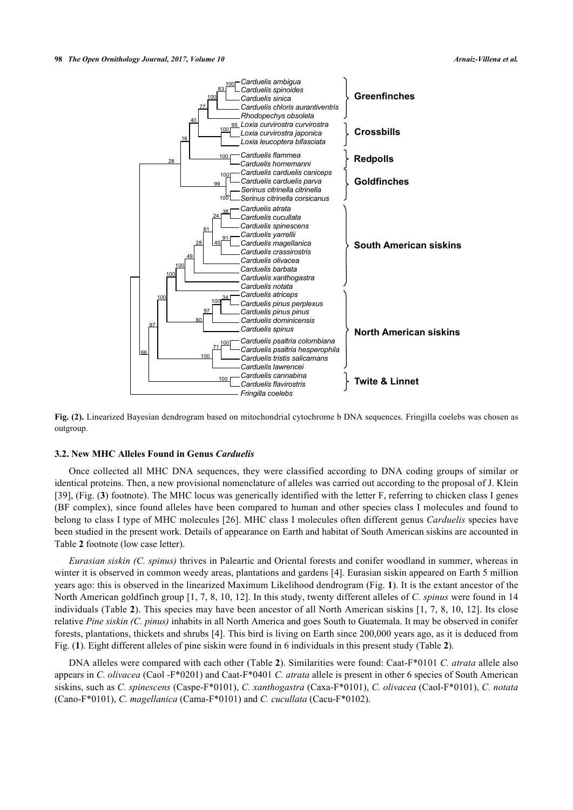

**Fig. (2).** Linearized Bayesian dendrogram based on mitochondrial cytochrome b DNA sequences. Fringilla coelebs was chosen as outgroup.

## **3.2. New MHC Alleles Found in Genus** *Carduelis*

Once collected all MHC DNA sequences, they were classified according to DNA coding groups of similar or identical proteins. Then, a new provisional nomenclature of alleles was carried out according to the proposal of J. Klein [\[39](#page-11-13)], (Fig. (**[3](#page-6-0)**) footnote). The MHC locus was generically identified with the letter F, referring to chicken class I genes (BF complex), since found alleles have been compared to human and other species class I molecules and found to belong to class I type of MHC molecules [\[26\]](#page-11-0). MHC class I molecules often different genus *Carduelis* species have been studied in the present work. Details of appearance on Earth and habitat of South American siskins are accounted in Table **[2](#page-3-0)** footnote (low case letter).

*Eurasian siskin (C. spinus)* thrives in Paleartic and Oriental forests and conifer woodland in summer, whereas in winter it is observed in common weedy areas, plantations and gardens [\[4](#page-10-1)]. Eurasian siskin appeared on Earth 5 million years ago: this is observed in the linearized Maximum Likelihood dendrogram (Fig. **[1](#page-5-0)**). It is the extant ancestor of the North American goldfinch group [[1,](#page-9-0) [7](#page-10-7), [8,](#page-10-3) [10](#page-10-4), [12\]](#page-10-5). In this study, twenty different alleles of *C. spinus* were found in 14 individuals (Table **[2](#page-3-0)**). This species may have been ancestor of all North American siskins [\[1](#page-9-0), [7](#page-10-7), [8](#page-10-3), [10](#page-10-4), [12](#page-10-5)]. Its close relative *Pine siskin (C. pinus)* inhabits in all North America and goes South to Guatemala. It may be observed in conifer forests, plantations, thickets and shrubs [\[4](#page-10-1)]. This bird is living on Earth since 200,000 years ago, as it is deduced from Fig. (**[1](#page-5-0)**). Eight different alleles of pine siskin were found in 6 individuals in this present study (Table **[2](#page-3-0)**).

<span id="page-6-0"></span>DNA alleles were compared with each other (Table **[2](#page-3-0)**). Similarities were found: Caat-F\*0101 *C. atrata* allele also appears in *C. olivacea* (Caol -F\*0201) and Caat-F\*0401 *C. atrata* allele is present in other 6 species of South American siskins, such as *C. spinescens* (Caspe-F\*0101), *C. xanthogastra* (Caxa-F\*0101), *C. olivacea* (Caol-F\*0101), *C. notata* (Cano-F\*0101), *C. magellanica* (Cama-F\*0101) and *C. cucullata* (Cacu-F\*0102).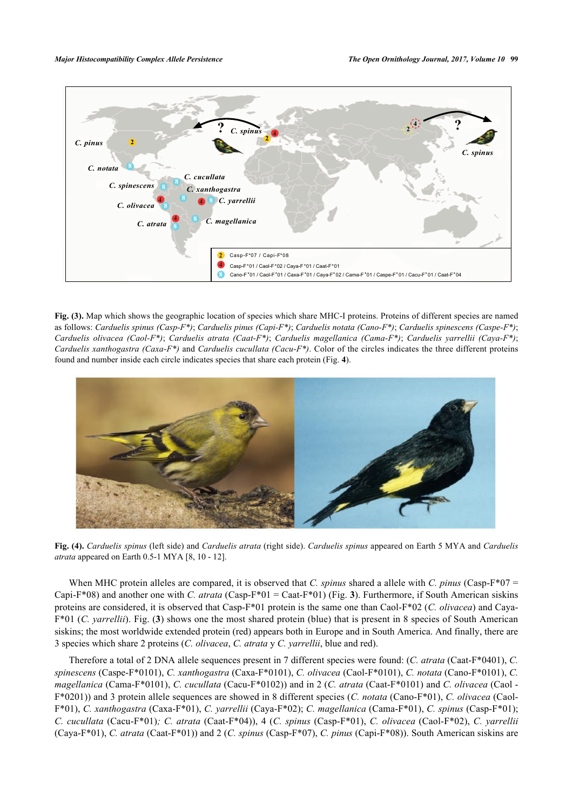

**Fig. (3).** Map which shows the geographic location of species which share MHC-I proteins. Proteins of different species are named as follows: *Carduelis spinus (Casp-F\*)*; *Carduelis pinus (Capi-F\*)*; *Carduelis notata (Cano-F\*)*; *Carduelis spinescens (Caspe-F\*)*; *Carduelis olivacea (Caol-F\*)*; *Carduelis atrata (Caat-F\*)*; *Carduelis magellanica (Cama-F\*)*; *Carduelis yarrellii (Caya-F\*)*; *Carduelis xanthogastra (Caxa-F\*)* and *Carduelis cucullata (Cacu-F\*)*. Color of the circles indicates the three different proteins found and number inside each circle indicates species that share each protein (Fig. **[4](#page-7-0)**).

<span id="page-7-0"></span>

**Fig. (4).** *Carduelis spinus* (left side) and *Carduelis atrata* (right side). *Carduelis spinus* appeared on Earth 5 MYA and *Carduelis atrata* appeared on Earth 0.5-1 MYA [[8](#page-10-3), [10](#page-10-4) - [12](#page-10-5)].

When MHC protein alleles are compared, it is observed that *C. spinus* shared a allele with *C. pinus* (Casp-F<sup>\*07 =</sup> Capi-F\*08) and another one with *C. atrata* (Casp-F\*01 = Caat-F\*01) (Fig. [3](#page-6-0)). Furthermore, if South American siskins proteins are considered, it is observed that Casp-F\*01 protein is the same one than Caol-F\*02 (*C. olivacea*) and Caya-F\*01 (*C. yarrellii*). Fig. (**[3](#page-6-0)**) shows one the most shared protein (blue) that is present in 8 species of South American siskins; the most worldwide extended protein (red) appears both in Europe and in South America. And finally, there are 3 species which share 2 proteins (*C. olivacea*, *C. atrata* y *C. yarrellii*, blue and red).

Therefore a total of 2 DNA allele sequences present in 7 different species were found: (*C. atrata* (Caat-F\*0401), *C. spinescens* (Caspe-F\*0101), *C. xanthogastra* (Caxa-F\*0101), *C. olivacea* (Caol-F\*0101), *C. notata* (Cano-F\*0101), *C. magellanica* (Cama-F\*0101), *C. cucullata* (Cacu-F\*0102)) and in 2 (*C. atrata* (Caat-F\*0101) and *C. olivacea* (Caol - F\*0201)) and 3 protein allele sequences are showed in 8 different species (*C. notata* (Cano-F\*01), *C. olivacea* (Caol-F\*01), *C. xanthogastra* (Caxa-F\*01), *C. yarrellii* (Caya-F\*02); *C. magellanica* (Cama-F\*01), *C. spinus* (Casp-F\*01); *C. cucullata* (Cacu-F\*01)*; C. atrata* (Caat-F\*04)), 4 (*C. spinus* (Casp-F\*01), *C. olivacea* (Caol-F\*02), *C. yarrellii* (Caya-F\*01), *C. atrata* (Caat-F\*01)) and 2 (*C. spinus* (Casp-F\*07), *C. pinus* (Capi-F\*08)). South American siskins are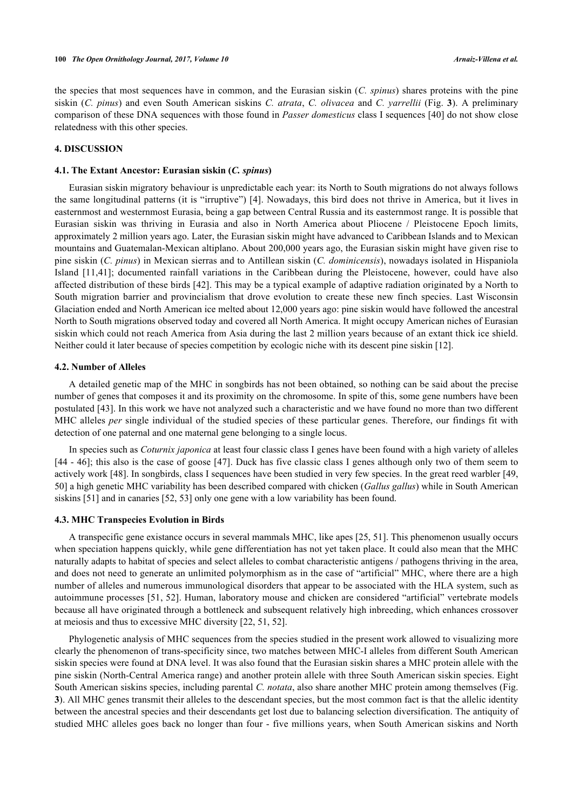the species that most sequences have in common, and the Eurasian siskin (*C. spinus*) shares proteins with the pine siskin (*C. pinus*) and even South American siskins *C. atrata*, *C. olivacea* and *C. yarrellii* (Fig. **[3](#page-6-0)**). A preliminary comparison of these DNA sequences with those found in *Passer domesticus* class I sequences [\[40](#page-11-14)] do not show close relatedness with this other species.

## **4. DISCUSSION**

#### **4.1. The Extant Ancestor: Eurasian siskin (***C. spinus***)**

Eurasian siskin migratory behaviour is unpredictable each year: its North to South migrations do not always follows the same longitudinal patterns (it is "irruptive") [[4\]](#page-10-1). Nowadays, this bird does not thrive in America, but it lives in easternmost and westernmost Eurasia, being a gap between Central Russia and its easternmost range. It is possible that Eurasian siskin was thriving in Eurasia and also in North America about Pliocene / Pleistocene Epoch limits, approximately 2 million years ago. Later, the Eurasian siskin might have advanced to Caribbean Islands and to Mexican mountains and Guatemalan-Mexican altiplano. About 200,000 years ago, the Eurasian siskin might have given rise to pine siskin (*C. pinus*) in Mexican sierras and to Antillean siskin (*C. dominicensis*), nowadays isolated in Hispaniola Island [\[11](#page-10-6),[41](#page-11-15)]; documented rainfall variations in the Caribbean during the Pleistocene, however, could have also affected distribution of these birds [[42](#page-11-16)]. This may be a typical example of adaptive radiation originated by a North to South migration barrier and provincialism that drove evolution to create these new finch species. Last Wisconsin Glaciation ended and North American ice melted about 12,000 years ago: pine siskin would have followed the ancestral North to South migrations observed today and covered all North America. It might occupy American niches of Eurasian siskin which could not reach America from Asia during the last 2 million years because of an extant thick ice shield. Neither could it later because of species competition by ecologic niche with its descent pine siskin [[12\]](#page-10-5).

#### **4.2. Number of Alleles**

A detailed genetic map of the MHC in songbirds has not been obtained, so nothing can be said about the precise number of genes that composes it and its proximity on the chromosome. In spite of this, some gene numbers have been postulated [\[43](#page-11-17)]. In this work we have not analyzed such a characteristic and we have found no more than two different MHC alleles *per* single individual of the studied species of these particular genes. Therefore, our findings fit with detection of one paternal and one maternal gene belonging to a single locus.

In species such as *Coturnix japonica* at least four classic class I genes have been found with a high variety of alleles [\[44](#page-11-18) - [46](#page-11-19)]; this also is the case of goose [[47\]](#page-11-20). Duck has five classic class I genes although only two of them seem to actively work [[48\]](#page-11-21). In songbirds, class I sequences have been studied in very few species. In the great reed warbler [[49](#page-12-0), [50\]](#page-12-1) a high genetic MHC variability has been described compared with chicken (*Gallus gallus*) while in South American siskins [[51\]](#page-12-2) and in canaries [\[52](#page-12-3), [53](#page-12-4)] only one gene with a low variability has been found.

#### **4.3. MHC Transpecies Evolution in Birds**

A transpecific gene existance occurs in several mammals MHC, like apes [[25,](#page-10-19) [51\]](#page-12-2). This phenomenon usually occurs when speciation happens quickly, while gene differentiation has not yet taken place. It could also mean that the MHC naturally adapts to habitat of species and select alleles to combat characteristic antigens / pathogens thriving in the area, and does not need to generate an unlimited polymorphism as in the case of "artificial" MHC, where there are a high number of alleles and numerous immunological disorders that appear to be associated with the HLA system, such as autoimmune processes [[51,](#page-12-2) [52\]](#page-12-3). Human, laboratory mouse and chicken are considered "artificial" vertebrate models because all have originated through a bottleneck and subsequent relatively high inbreeding, which enhances crossover at meiosis and thus to excessive MHC diversity [[22,](#page-10-16) [51,](#page-12-2) [52\]](#page-12-3).

Phylogenetic analysis of MHC sequences from the species studied in the present work allowed to visualizing more clearly the phenomenon of trans-specificity since, two matches between MHC-I alleles from different South American siskin species were found at DNA level. It was also found that the Eurasian siskin shares a MHC protein allele with the pine siskin (North-Central America range) and another protein allele with three South American siskin species. Eight South American siskins species, including parental *C. notata*, also share another MHC protein among themselves (Fig. **[3](#page-6-0)**). All MHC genes transmit their alleles to the descendant species, but the most common fact is that the allelic identity between the ancestral species and their descendants get lost due to balancing selection diversification. The antiquity of studied MHC alleles goes back no longer than four - five millions years, when South American siskins and North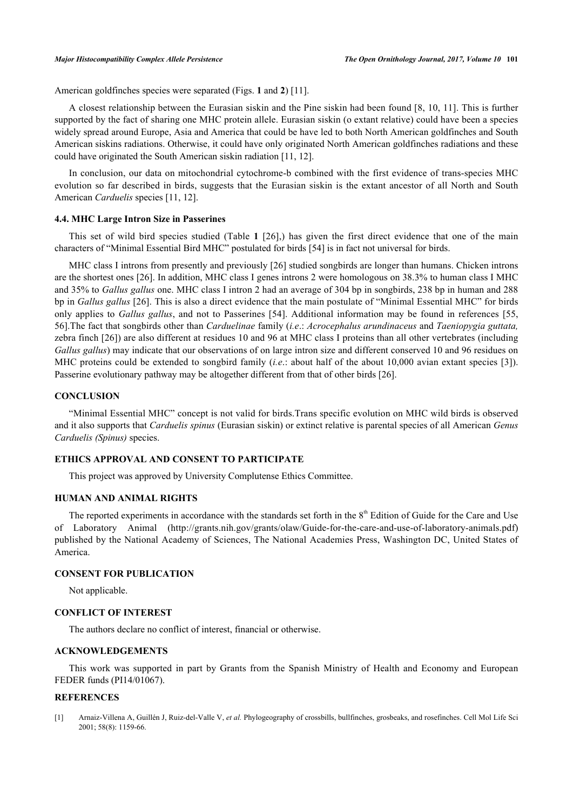American goldfinches species were separated (Figs. **[1](#page-5-0)** and **[2](#page-5-1)**) [[11\]](#page-10-6).

A closest relationship between the Eurasian siskin and the Pine siskin had been found [[8](#page-10-3), [10,](#page-10-4) [11\]](#page-10-6). This is further supported by the fact of sharing one MHC protein allele. Eurasian siskin (o extant relative) could have been a species widely spread around Europe, Asia and America that could be have led to both North American goldfinches and South American siskins radiations. Otherwise, it could have only originated North American goldfinches radiations and these could have originated the South American siskin radiation [[11,](#page-10-6) [12\]](#page-10-5).

In conclusion, our data on mitochondrial cytochrome-b combined with the first evidence of trans-species MHC evolution so far described in birds, suggests that the Eurasian siskin is the extant ancestor of all North and South American *Carduelis* species [\[11](#page-10-6), [12](#page-10-5)].

#### **4.4. MHC Large Intron Size in Passerines**

This set of wild bird species studied (Table**1** [\[26\]](#page-11-0),) has given the first direct evidence that one of the main characters of "Minimal Essential Bird MHC" postulated for birds [\[54](#page-12-5)] is in fact not universal for birds.

MHC class I introns from presently and previously [\[26](#page-11-0)] studied songbirds are longer than humans. Chicken introns are the shortest ones [\[26](#page-11-0)]. In addition, MHC class I genes introns 2 were homologous on 38.3% to human class I MHC and 35% to *Gallus gallus* one. MHC class I intron 2 had an average of 304 bp in songbirds, 238 bp in human and 288 bp in *Gallus gallus* [[26\]](#page-11-0). This is also a direct evidence that the main postulate of "Minimal Essential MHC" for birds only applies to *Gallus gallus*, and not to Passerines [[54\]](#page-12-5). Additional information may be found in references [[55](#page-12-6), [56\]](#page-12-7).The fact that songbirds other than *Carduelinae* family (*i.e*.: *Acrocephalus arundinaceus* and *Taeniopygia guttata,* zebra finch [[26\]](#page-11-0)) are also different at residues 10 and 96 at MHC class I proteins than all other vertebrates (including *Gallus gallus*) may indicate that our observations of on large intron size and different conserved 10 and 96 residues on MHC proteins could be extended to songbird family (*i.e*.: about half of the about 10,000 avian extant species [[3](#page-10-20)]). Passerine evolutionary pathway may be altogether different from that of other birds [[26\]](#page-11-0).

#### **CONCLUSION**

"Minimal Essential MHC" concept is not valid for birds.Trans specific evolution on MHC wild birds is observed and it also supports that *Carduelis spinus* (Eurasian siskin) or extinct relative is parental species of all American *Genus Carduelis (Spinus)* species.

# **ETHICS APPROVAL AND CONSENT TO PARTICIPATE**

This project was approved by University Complutense Ethics Committee.

#### **HUMAN AND ANIMAL RIGHTS**

The reported experiments in accordance with the standards set forth in the  $8<sup>th</sup>$  Edition of Guide for the Care and Use of Laboratory Animal(<http://grants.nih.gov/grants/olaw/Guide-for-the-care-and-use-of-laboratory-animals.pdf>) published by the National Academy of Sciences, The National Academies Press, Washington DC, United States of America.

# **CONSENT FOR PUBLICATION**

Not applicable.

#### **CONFLICT OF INTEREST**

The authors declare no conflict of interest, financial or otherwise.

# **ACKNOWLEDGEMENTS**

This work was supported in part by Grants from the Spanish Ministry of Health and Economy and European FEDER funds (PI14/01067).

#### **REFERENCES**

<span id="page-9-0"></span>[1] Arnaiz-Villena A, Guillén J, Ruiz-del-Valle V, *et al.* Phylogeography of crossbills, bullfinches, grosbeaks, and rosefinches. Cell Mol Life Sci 2001; 58(8): 1159-66.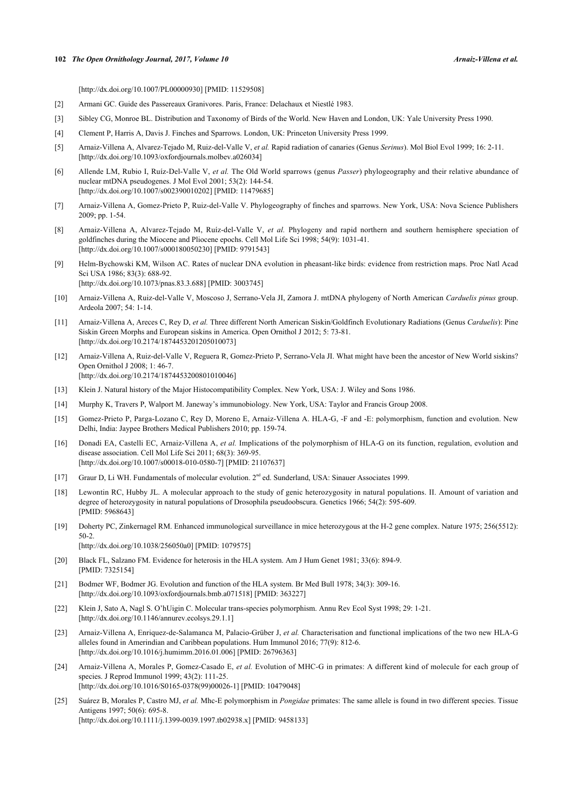#### **102** *The Open Ornithology Journal, 2017, Volume 10 Arnaiz-Villena et al.*

[\[http://dx.doi.org/10.1007/PL00000930](http://dx.doi.org/10.1007/PL00000930)] [PMID: [11529508\]](http://www.ncbi.nlm.nih.gov/pubmed/11529508)

- <span id="page-10-0"></span>[2] Armani GC. Guide des Passereaux Granivores. Paris, France: Delachaux et Niestlé 1983.
- <span id="page-10-20"></span>[3] Sibley CG, Monroe BL. Distribution and Taxonomy of Birds of the World. New Haven and London, UK: Yale University Press 1990.
- <span id="page-10-1"></span>[4] Clement P, Harris A, Davis J. Finches and Sparrows. London, UK: Princeton University Press 1999.
- <span id="page-10-2"></span>[5] Arnaiz-Villena A, Alvarez-Tejado M, Ruiz-del-Valle V, *et al.* Rapid radiation of canaries (Genus *Serinus*). Mol Biol Evol 1999; 16: 2-11. [\[http://dx.doi.org/10.1093/oxfordjournals.molbev.a026034](http://dx.doi.org/10.1093/oxfordjournals.molbev.a026034)]
- [6] Allende LM, Rubio I, Ruíz-Del-Valle V, *et al.* The Old World sparrows (genus *Passer*) phylogeography and their relative abundance of nuclear mtDNA pseudogenes. J Mol Evol 2001; 53(2): 144-54. [\[http://dx.doi.org/10.1007/s002390010202\]](http://dx.doi.org/10.1007/s002390010202) [PMID: [11479685](http://www.ncbi.nlm.nih.gov/pubmed/11479685)]
- <span id="page-10-7"></span>[7] Arnaiz-Villena A, Gomez-Prieto P, Ruiz-del-Valle V. Phylogeography of finches and sparrows. New York, USA: Nova Science Publishers 2009; pp. 1-54.
- <span id="page-10-3"></span>[8] Arnaiz-Villena A, Alvarez-Tejado M, Ruíz-del-Valle V, *et al.* Phylogeny and rapid northern and southern hemisphere speciation of goldfinches during the Miocene and Pliocene epochs. Cell Mol Life Sci 1998; 54(9): 1031-41. [\[http://dx.doi.org/10.1007/s000180050230\]](http://dx.doi.org/10.1007/s000180050230) [PMID: [9791543](http://www.ncbi.nlm.nih.gov/pubmed/9791543)]
- [9] Helm-Bychowski KM, Wilson AC. Rates of nuclear DNA evolution in pheasant-like birds: evidence from restriction maps. Proc Natl Acad Sci USA 1986; 83(3): 688-92. [\[http://dx.doi.org/10.1073/pnas.83.3.688](http://dx.doi.org/10.1073/pnas.83.3.688)] [PMID: [3003745](http://www.ncbi.nlm.nih.gov/pubmed/3003745)]
- <span id="page-10-4"></span>[10] Arnaiz-Villena A, Ruiz-del-Valle V, Moscoso J, Serrano-Vela JI, Zamora J. mtDNA phylogeny of North American *Carduelis pinus* group. Ardeola 2007; 54: 1-14.
- <span id="page-10-6"></span>[11] Arnaiz-Villena A, Areces C, Rey D, *et al.* Three different North American Siskin/Goldfinch Evolutionary Radiations (Genus *Carduelis*): Pine Siskin Green Morphs and European siskins in America. Open Ornithol J 2012; 5: 73-81. [\[http://dx.doi.org/10.2174/1874453201205010073\]](http://dx.doi.org/10.2174/1874453201205010073)
- <span id="page-10-5"></span>[12] Arnaiz-Villena A, Ruiz-del-Valle V, Reguera R, Gomez-Prieto P, Serrano-Vela JI. What might have been the ancestor of New World siskins? Open Ornithol J 2008; 1: 46-7. [\[http://dx.doi.org/10.2174/1874453200801010046\]](http://dx.doi.org/10.2174/1874453200801010046)
- <span id="page-10-8"></span>[13] Klein J. Natural history of the Major Histocompatibility Complex. New York, USA: J. Wiley and Sons 1986.
- <span id="page-10-9"></span>[14] Murphy K, Travers P, Walport M. Janeway's immunobiology. New York, USA: Taylor and Francis Group 2008.
- <span id="page-10-10"></span>[15] Gomez-Prieto P, Parga-Lozano C, Rey D, Moreno E, Arnaiz-Villena A. HLA-G, -F and -E: polymorphism, function and evolution. New Delhi, India: Jaypee Brothers Medical Publishers 2010; pp. 159-74.
- <span id="page-10-11"></span>[16] Donadi EA, Castelli EC, Arnaiz-Villena A, *et al.* Implications of the polymorphism of HLA-G on its function, regulation, evolution and disease association. Cell Mol Life Sci 2011; 68(3): 369-95. [\[http://dx.doi.org/10.1007/s00018-010-0580-7\]](http://dx.doi.org/10.1007/s00018-010-0580-7) [PMID: [21107637](http://www.ncbi.nlm.nih.gov/pubmed/21107637)]
- <span id="page-10-12"></span>[17] Graur D, Li WH. Fundamentals of molecular evolution. 2<sup>nd</sup> ed. Sunderland, USA: Sinauer Associates 1999.
- <span id="page-10-13"></span>[18] Lewontin RC, Hubby JL. A molecular approach to the study of genic heterozygosity in natural populations. II. Amount of variation and degree of heterozygosity in natural populations of Drosophila pseudoobscura. Genetics 1966; 54(2): 595-609. [PMID: [5968643\]](http://www.ncbi.nlm.nih.gov/pubmed/5968643)
- [19] Doherty PC, Zinkernagel RM. Enhanced immunological surveillance in mice heterozygous at the H-2 gene complex. Nature 1975; 256(5512): 50-2. [\[http://dx.doi.org/10.1038/256050a0](http://dx.doi.org/10.1038/256050a0)] [PMID: [1079575\]](http://www.ncbi.nlm.nih.gov/pubmed/1079575)
	-
- <span id="page-10-14"></span>[20] Black FL, Salzano FM. Evidence for heterosis in the HLA system. Am J Hum Genet 1981; 33(6): 894-9. [PMID: [7325154\]](http://www.ncbi.nlm.nih.gov/pubmed/7325154)
- <span id="page-10-15"></span>[21] Bodmer WF, Bodmer JG. Evolution and function of the HLA system. Br Med Bull 1978; 34(3): 309-16. [\[http://dx.doi.org/10.1093/oxfordjournals.bmb.a071518\]](http://dx.doi.org/10.1093/oxfordjournals.bmb.a071518) [PMID: [363227](http://www.ncbi.nlm.nih.gov/pubmed/363227)]
- <span id="page-10-16"></span>[22] Klein J, Sato A, Nagl S. O'hUigin C. Molecular trans-species polymorphism. Annu Rev Ecol Syst 1998; 29: 1-21. [\[http://dx.doi.org/10.1146/annurev.ecolsys.29.1.1](http://dx.doi.org/10.1146/annurev.ecolsys.29.1.1)]
- <span id="page-10-17"></span>[23] Arnaiz-Villena A, Enriquez-de-Salamanca M, Palacio-Grüber J, *et al.* Characterisation and functional implications of the two new HLA-G alleles found in Amerindian and Caribbean populations. Hum Immunol 2016; 77(9): 812-6. [\[http://dx.doi.org/10.1016/j.humimm.2016.01.006\]](http://dx.doi.org/10.1016/j.humimm.2016.01.006) [PMID: [26796363](http://www.ncbi.nlm.nih.gov/pubmed/26796363)]
- <span id="page-10-18"></span>[24] Arnaiz-Villena A, Morales P, Gomez-Casado E, *et al.* Evolution of MHC-G in primates: A different kind of molecule for each group of species. J Reprod Immunol 1999; 43(2): 111-25. [\[http://dx.doi.org/10.1016/S0165-0378\(99\)00026-1\]](http://dx.doi.org/10.1016/S0165-0378(99)00026-1) [PMID: [10479048](http://www.ncbi.nlm.nih.gov/pubmed/10479048)]
- <span id="page-10-19"></span>[25] Suárez B, Morales P, Castro MJ, *et al.* Mhc-E polymorphism in *Pongidae* primates: The same allele is found in two different species. Tissue Antigens 1997; 50(6): 695-8. [\[http://dx.doi.org/10.1111/j.1399-0039.1997.tb02938.x\]](http://dx.doi.org/10.1111/j.1399-0039.1997.tb02938.x) [PMID: [9458133](http://www.ncbi.nlm.nih.gov/pubmed/9458133)]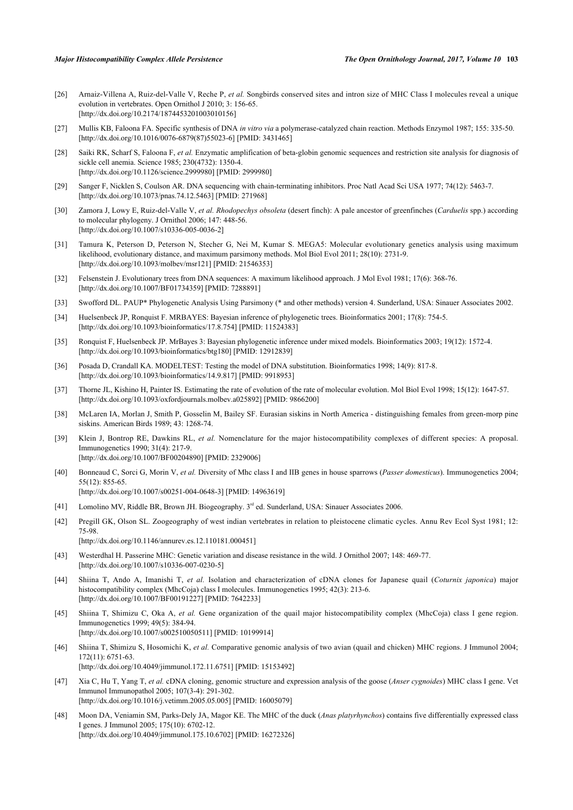- <span id="page-11-0"></span>[26] Arnaiz-Villena A, Ruiz-del-Valle V, Reche P, *et al.* Songbirds conserved sites and intron size of MHC Class I molecules reveal a unique evolution in vertebrates. Open Ornithol J 2010; 3: 156-65. [\[http://dx.doi.org/10.2174/1874453201003010156\]](http://dx.doi.org/10.2174/1874453201003010156)
- <span id="page-11-1"></span>[27] Mullis KB, Faloona FA. Specific synthesis of DNA *in vitro via* a polymerase-catalyzed chain reaction. Methods Enzymol 1987; 155: 335-50. [\[http://dx.doi.org/10.1016/0076-6879\(87\)55023-6](http://dx.doi.org/10.1016/0076-6879(87)55023-6)] [PMID: [3431465](http://www.ncbi.nlm.nih.gov/pubmed/3431465)]
- <span id="page-11-2"></span>[28] Saiki RK, Scharf S, Faloona F, *et al.* Enzymatic amplification of beta-globin genomic sequences and restriction site analysis for diagnosis of sickle cell anemia. Science 1985; 230(4732): 1350-4. [\[http://dx.doi.org/10.1126/science.2999980](http://dx.doi.org/10.1126/science.2999980)] [PMID: [2999980\]](http://www.ncbi.nlm.nih.gov/pubmed/2999980)
- <span id="page-11-3"></span>[29] Sanger F, Nicklen S, Coulson AR. DNA sequencing with chain-terminating inhibitors. Proc Natl Acad Sci USA 1977; 74(12): 5463-7. [\[http://dx.doi.org/10.1073/pnas.74.12.5463](http://dx.doi.org/10.1073/pnas.74.12.5463)] [PMID: [271968](http://www.ncbi.nlm.nih.gov/pubmed/271968)]
- <span id="page-11-4"></span>[30] Zamora J, Lowy E, Ruiz-del-Valle V, *et al. Rhodopechys obsoleta* (desert finch): A pale ancestor of greenfinches (*Carduelis* spp.) according to molecular phylogeny. J Ornithol 2006; 147: 448-56. [\[http://dx.doi.org/10.1007/s10336-005-0036-2\]](http://dx.doi.org/10.1007/s10336-005-0036-2)
- <span id="page-11-5"></span>[31] Tamura K, Peterson D, Peterson N, Stecher G, Nei M, Kumar S. MEGA5: Molecular evolutionary genetics analysis using maximum likelihood, evolutionary distance, and maximum parsimony methods. Mol Biol Evol 2011; 28(10): 2731-9. [\[http://dx.doi.org/10.1093/molbev/msr121](http://dx.doi.org/10.1093/molbev/msr121)] [PMID: [21546353\]](http://www.ncbi.nlm.nih.gov/pubmed/21546353)
- <span id="page-11-6"></span>[32] Felsenstein J. Evolutionary trees from DNA sequences: A maximum likelihood approach. J Mol Evol 1981; 17(6): 368-76. [\[http://dx.doi.org/10.1007/BF01734359\]](http://dx.doi.org/10.1007/BF01734359) [PMID: [7288891](http://www.ncbi.nlm.nih.gov/pubmed/7288891)]
- <span id="page-11-7"></span>[33] Swofford DL. PAUP\* Phylogenetic Analysis Using Parsimony (\* and other methods) version 4. Sunderland, USA: Sinauer Associates 2002.
- <span id="page-11-8"></span>[34] Huelsenbeck JP, Ronquist F. MRBAYES: Bayesian inference of phylogenetic trees. Bioinformatics 2001; 17(8): 754-5. [\[http://dx.doi.org/10.1093/bioinformatics/17.8.754\]](http://dx.doi.org/10.1093/bioinformatics/17.8.754) [PMID: [11524383](http://www.ncbi.nlm.nih.gov/pubmed/11524383)]
- <span id="page-11-9"></span>[35] Ronquist F, Huelsenbeck JP. MrBayes 3: Bayesian phylogenetic inference under mixed models. Bioinformatics 2003; 19(12): 1572-4. [\[http://dx.doi.org/10.1093/bioinformatics/btg180\]](http://dx.doi.org/10.1093/bioinformatics/btg180) [PMID: [12912839](http://www.ncbi.nlm.nih.gov/pubmed/12912839)]
- <span id="page-11-10"></span>[36] Posada D, Crandall KA. MODELTEST: Testing the model of DNA substitution. Bioinformatics 1998; 14(9): 817-8. [\[http://dx.doi.org/10.1093/bioinformatics/14.9.817\]](http://dx.doi.org/10.1093/bioinformatics/14.9.817) [PMID: [9918953](http://www.ncbi.nlm.nih.gov/pubmed/9918953)]
- <span id="page-11-11"></span>[37] Thorne JL, Kishino H, Painter IS. Estimating the rate of evolution of the rate of molecular evolution. Mol Biol Evol 1998; 15(12): 1647-57. [\[http://dx.doi.org/10.1093/oxfordjournals.molbev.a025892](http://dx.doi.org/10.1093/oxfordjournals.molbev.a025892)] [PMID: [9866200](http://www.ncbi.nlm.nih.gov/pubmed/9866200)]
- <span id="page-11-12"></span>[38] McLaren IA, Morlan J, Smith P, Gosselin M, Bailey SF. Eurasian siskins in North America - distinguishing females from green-morp pine siskins. American Birds 1989; 43: 1268-74.
- <span id="page-11-13"></span>[39] Klein J, Bontrop RE, Dawkins RL, *et al.* Nomenclature for the major histocompatibility complexes of different species: A proposal. Immunogenetics 1990; 31(4): 217-9. [\[http://dx.doi.org/10.1007/BF00204890\]](http://dx.doi.org/10.1007/BF00204890) [PMID: [2329006](http://www.ncbi.nlm.nih.gov/pubmed/2329006)]
- <span id="page-11-14"></span>[40] Bonneaud C, Sorci G, Morin V, *et al.* Diversity of Mhc class I and IIB genes in house sparrows (*Passer domesticus*). Immunogenetics 2004; 55(12): 855-65. [\[http://dx.doi.org/10.1007/s00251-004-0648-3\]](http://dx.doi.org/10.1007/s00251-004-0648-3) [PMID: [14963619](http://www.ncbi.nlm.nih.gov/pubmed/14963619)]
- <span id="page-11-15"></span>[41] Lomolino MV, Riddle BR, Brown JH. Biogeography. 3rd ed. Sunderland, USA: Sinauer Associates 2006.
- <span id="page-11-16"></span>[42] Pregill GK, Olson SL. Zoogeography of west indian vertebrates in relation to pleistocene climatic cycles. Annu Rev Ecol Syst 1981; 12: 75-98.
	- [\[http://dx.doi.org/10.1146/annurev.es.12.110181.000451](http://dx.doi.org/10.1146/annurev.es.12.110181.000451)]
- <span id="page-11-17"></span>[43] Westerdhal H. Passerine MHC: Genetic variation and disease resistance in the wild. J Ornithol 2007; 148: 469-77. [\[http://dx.doi.org/10.1007/s10336-007-0230-5\]](http://dx.doi.org/10.1007/s10336-007-0230-5)
- <span id="page-11-18"></span>[44] Shiina T, Ando A, Imanishi T, *et al.* Isolation and characterization of cDNA clones for Japanese quail (*Coturnix japonica*) major histocompatibility complex (MhcCoja) class I molecules. Immunogenetics 1995; 42(3): 213-6. [\[http://dx.doi.org/10.1007/BF00191227\]](http://dx.doi.org/10.1007/BF00191227) [PMID: [7642233](http://www.ncbi.nlm.nih.gov/pubmed/7642233)]
- [45] Shiina T, Shimizu C, Oka A, *et al.* Gene organization of the quail major histocompatibility complex (MhcCoja) class I gene region. Immunogenetics 1999; 49(5): 384-94. [\[http://dx.doi.org/10.1007/s002510050511\]](http://dx.doi.org/10.1007/s002510050511) [PMID: [10199914](http://www.ncbi.nlm.nih.gov/pubmed/10199914)]
- <span id="page-11-19"></span>[46] Shiina T, Shimizu S, Hosomichi K, *et al.* Comparative genomic analysis of two avian (quail and chicken) MHC regions. J Immunol 2004; 172(11): 6751-63. [\[http://dx.doi.org/10.4049/jimmunol.172.11.6751\]](http://dx.doi.org/10.4049/jimmunol.172.11.6751) [PMID: [15153492](http://www.ncbi.nlm.nih.gov/pubmed/15153492)]
- <span id="page-11-20"></span>[47] Xia C, Hu T, Yang T, *et al.* cDNA cloning, genomic structure and expression analysis of the goose (*Anser cygnoides*) MHC class I gene. Vet Immunol Immunopathol 2005; 107(3-4): 291-302. [\[http://dx.doi.org/10.1016/j.vetimm.2005.05.005](http://dx.doi.org/10.1016/j.vetimm.2005.05.005)] [PMID: [16005079](http://www.ncbi.nlm.nih.gov/pubmed/16005079)]
- <span id="page-11-21"></span>[48] Moon DA, Veniamin SM, Parks-Dely JA, Magor KE. The MHC of the duck (*Anas platyrhynchos*) contains five differentially expressed class I genes. J Immunol 2005; 175(10): 6702-12. [\[http://dx.doi.org/10.4049/jimmunol.175.10.6702\]](http://dx.doi.org/10.4049/jimmunol.175.10.6702) [PMID: [16272326](http://www.ncbi.nlm.nih.gov/pubmed/16272326)]